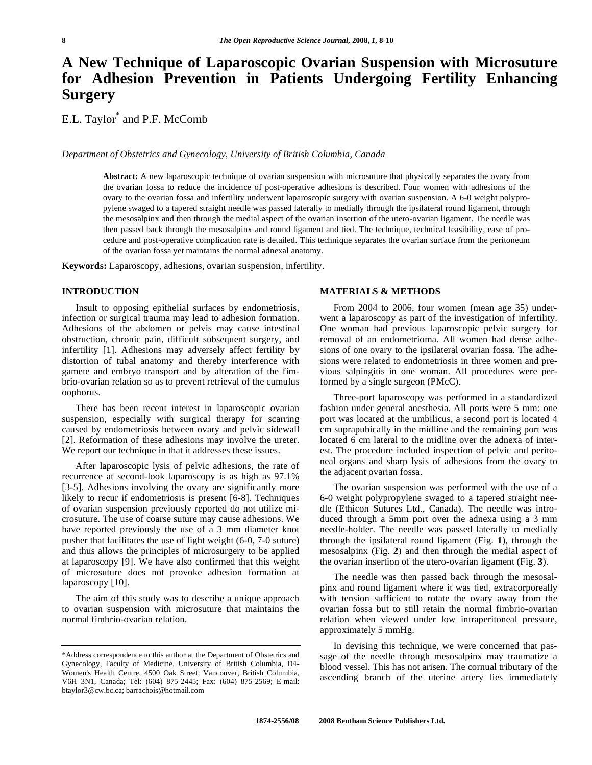# **A New Technique of Laparoscopic Ovarian Suspension with Microsuture for Adhesion Prevention in Patients Undergoing Fertility Enhancing Surgery**

E.L. Taylor\* and P.F. McComb

*Department of Obstetrics and Gynecology, University of British Columbia, Canada* 

**Abstract:** A new laparoscopic technique of ovarian suspension with microsuture that physically separates the ovary from the ovarian fossa to reduce the incidence of post-operative adhesions is described. Four women with adhesions of the ovary to the ovarian fossa and infertility underwent laparoscopic surgery with ovarian suspension. A 6-0 weight polypropylene swaged to a tapered straight needle was passed laterally to medially through the ipsilateral round ligament, through the mesosalpinx and then through the medial aspect of the ovarian insertion of the utero-ovarian ligament. The needle was then passed back through the mesosalpinx and round ligament and tied. The technique, technical feasibility, ease of procedure and post-operative complication rate is detailed. This technique separates the ovarian surface from the peritoneum of the ovarian fossa yet maintains the normal adnexal anatomy.

**Keywords:** Laparoscopy, adhesions, ovarian suspension, infertility.

#### **INTRODUCTION**

 Insult to opposing epithelial surfaces by endometriosis, infection or surgical trauma may lead to adhesion formation. Adhesions of the abdomen or pelvis may cause intestinal obstruction, chronic pain, difficult subsequent surgery, and infertility [1]. Adhesions may adversely affect fertility by distortion of tubal anatomy and thereby interference with gamete and embryo transport and by alteration of the fimbrio-ovarian relation so as to prevent retrieval of the cumulus oophorus.

 There has been recent interest in laparoscopic ovarian suspension, especially with surgical therapy for scarring caused by endometriosis between ovary and pelvic sidewall [2]. Reformation of these adhesions may involve the ureter. We report our technique in that it addresses these issues.

 After laparoscopic lysis of pelvic adhesions, the rate of recurrence at second-look laparoscopy is as high as 97.1% [3-5]. Adhesions involving the ovary are significantly more likely to recur if endometriosis is present [6-8]. Techniques of ovarian suspension previously reported do not utilize microsuture. The use of coarse suture may cause adhesions. We have reported previously the use of a 3 mm diameter knot pusher that facilitates the use of light weight (6-0, 7-0 suture) and thus allows the principles of microsurgery to be applied at laparoscopy [9]. We have also confirmed that this weight of microsuture does not provoke adhesion formation at laparoscopy [10].

 The aim of this study was to describe a unique approach to ovarian suspension with microsuture that maintains the normal fimbrio-ovarian relation.

## **MATERIALS & METHODS**

 From 2004 to 2006, four women (mean age 35) underwent a laparoscopy as part of the investigation of infertility. One woman had previous laparoscopic pelvic surgery for removal of an endometrioma. All women had dense adhesions of one ovary to the ipsilateral ovarian fossa. The adhesions were related to endometriosis in three women and previous salpingitis in one woman. All procedures were performed by a single surgeon (PMcC).

 Three-port laparoscopy was performed in a standardized fashion under general anesthesia. All ports were 5 mm: one port was located at the umbilicus, a second port is located 4 cm suprapubically in the midline and the remaining port was located 6 cm lateral to the midline over the adnexa of interest. The procedure included inspection of pelvic and peritoneal organs and sharp lysis of adhesions from the ovary to the adjacent ovarian fossa.

 The ovarian suspension was performed with the use of a 6-0 weight polypropylene swaged to a tapered straight needle (Ethicon Sutures Ltd., Canada). The needle was introduced through a 5mm port over the adnexa using a 3 mm needle-holder. The needle was passed laterally to medially through the ipsilateral round ligament (Fig. **1**), through the mesosalpinx (Fig. **2**) and then through the medial aspect of the ovarian insertion of the utero-ovarian ligament (Fig. **3**).

 The needle was then passed back through the mesosalpinx and round ligament where it was tied, extracorporeally with tension sufficient to rotate the ovary away from the ovarian fossa but to still retain the normal fimbrio-ovarian relation when viewed under low intraperitoneal pressure, approximately 5 mmHg.

 In devising this technique, we were concerned that passage of the needle through mesosalpinx may traumatize a blood vessel. This has not arisen. The cornual tributary of the ascending branch of the uterine artery lies immediately

<sup>\*</sup>Address correspondence to this author at the Department of Obstetrics and Gynecology, Faculty of Medicine, University of British Columbia, D4- Women's Health Centre, 4500 Oak Street, Vancouver, British Columbia, V6H 3N1, Canada; Tel: (604) 875-2445; Fax: (604) 875-2569; E-mail: btaylor3@cw.bc.ca; barrachois@hotmail.com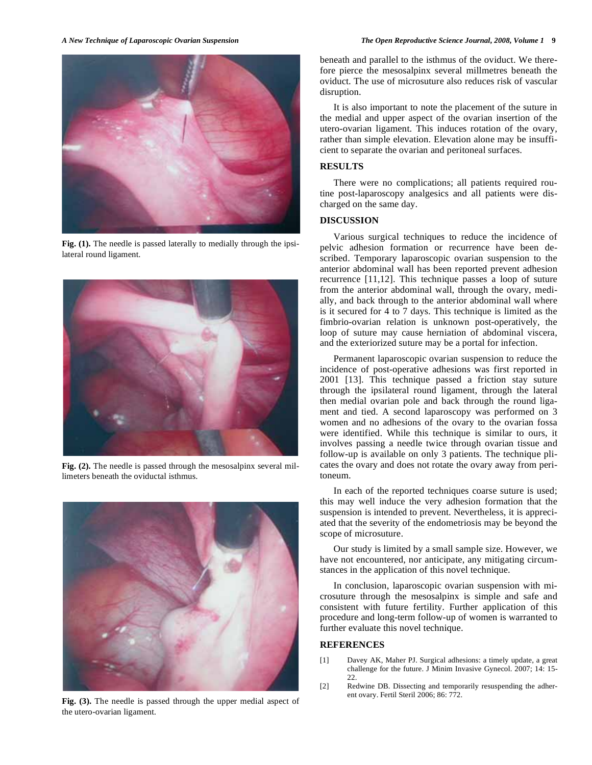

Fig. (1). The needle is passed laterally to medially through the ipsilateral round ligament.



Fig. (2). The needle is passed through the mesosalpinx several millimeters beneath the oviductal isthmus.



**Fig. (3).** The needle is passed through the upper medial aspect of the utero-ovarian ligament.

beneath and parallel to the isthmus of the oviduct. We therefore pierce the mesosalpinx several millmetres beneath the oviduct. The use of microsuture also reduces risk of vascular disruption.

 It is also important to note the placement of the suture in the medial and upper aspect of the ovarian insertion of the utero-ovarian ligament. This induces rotation of the ovary, rather than simple elevation. Elevation alone may be insufficient to separate the ovarian and peritoneal surfaces.

# **RESULTS**

 There were no complications; all patients required routine post-laparoscopy analgesics and all patients were discharged on the same day.

# **DISCUSSION**

 Various surgical techniques to reduce the incidence of pelvic adhesion formation or recurrence have been described. Temporary laparoscopic ovarian suspension to the anterior abdominal wall has been reported prevent adhesion recurrence [11,12]. This technique passes a loop of suture from the anterior abdominal wall, through the ovary, medially, and back through to the anterior abdominal wall where is it secured for 4 to 7 days. This technique is limited as the fimbrio-ovarian relation is unknown post-operatively, the loop of suture may cause herniation of abdominal viscera, and the exteriorized suture may be a portal for infection.

 Permanent laparoscopic ovarian suspension to reduce the incidence of post-operative adhesions was first reported in 2001 [13]. This technique passed a friction stay suture through the ipsilateral round ligament, through the lateral then medial ovarian pole and back through the round ligament and tied. A second laparoscopy was performed on 3 women and no adhesions of the ovary to the ovarian fossa were identified. While this technique is similar to ours, it involves passing a needle twice through ovarian tissue and follow-up is available on only 3 patients. The technique plicates the ovary and does not rotate the ovary away from peritoneum.

 In each of the reported techniques coarse suture is used; this may well induce the very adhesion formation that the suspension is intended to prevent. Nevertheless, it is appreciated that the severity of the endometriosis may be beyond the scope of microsuture.

 Our study is limited by a small sample size. However, we have not encountered, nor anticipate, any mitigating circumstances in the application of this novel technique.

 In conclusion, laparoscopic ovarian suspension with microsuture through the mesosalpinx is simple and safe and consistent with future fertility. Further application of this procedure and long-term follow-up of women is warranted to further evaluate this novel technique.

## **REFERENCES**

- [1] Davey AK, Maher PJ. Surgical adhesions: a timely update, a great challenge for the future. J Minim Invasive Gynecol. 2007; 14: 15- 22.
- [2] Redwine DB. Dissecting and temporarily resuspending the adherent ovary. Fertil Steril 2006; 86: 772.